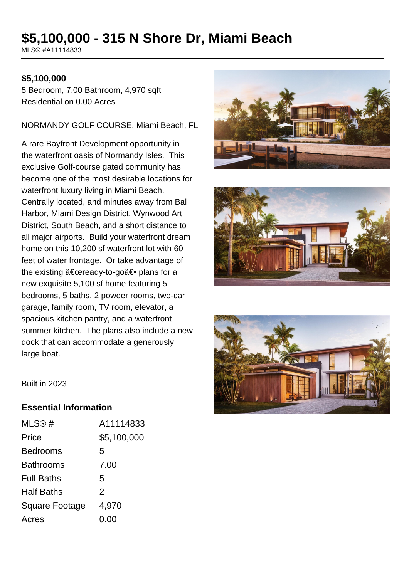# **\$5,100,000 - 315 N Shore Dr, Miami Beach**

MLS® #A11114833

#### **\$5,100,000**

5 Bedroom, 7.00 Bathroom, 4,970 sqft Residential on 0.00 Acres

NORMANDY GOLF COURSE, Miami Beach, FL

A rare Bayfront Development opportunity in the waterfront oasis of Normandy Isles. This exclusive Golf-course gated community has become one of the most desirable locations for waterfront luxury living in Miami Beach. Centrally located, and minutes away from Bal Harbor, Miami Design District, Wynwood Art District, South Beach, and a short distance to all major airports. Build your waterfront dream home on this 10,200 sf waterfront lot with 60 feet of water frontage. Or take advantage of the existing  $\hat{a} \in \text{c}$ eready-to-go $\hat{a} \in \text{e}$  plans for a new exquisite 5,100 sf home featuring 5 bedrooms, 5 baths, 2 powder rooms, two-car garage, family room, TV room, elevator, a spacious kitchen pantry, and a waterfront summer kitchen. The plans also include a new dock that can accommodate a generously large boat.







Built in 2023

#### **Essential Information**

| MLS@#             | A11114833      |
|-------------------|----------------|
| Price             | \$5,100,000    |
| Bedrooms          | 5              |
| Bathrooms         | 7.00           |
| <b>Full Baths</b> | 5              |
| Half Baths        | $\overline{2}$ |
| Square Footage    | 4,970          |
| Acres             | 0.00           |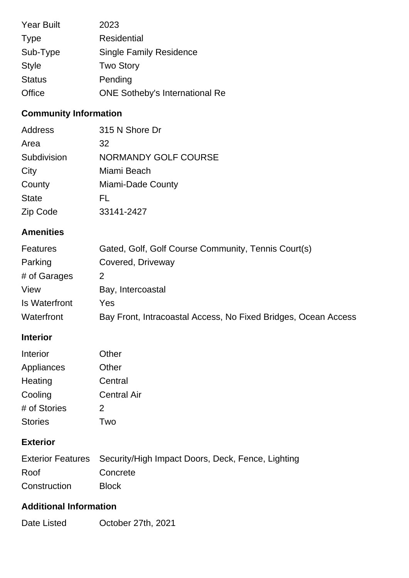| <b>Year Built</b> | 2023                                  |
|-------------------|---------------------------------------|
| <b>Type</b>       | <b>Residential</b>                    |
| Sub-Type          | <b>Single Family Residence</b>        |
| <b>Style</b>      | <b>Two Story</b>                      |
| <b>Status</b>     | Pending                               |
| Office            | <b>ONE Sotheby's International Re</b> |

# **Community Information**

| Address      | 315 N Shore Dr              |
|--------------|-----------------------------|
| Area         | 32                          |
| Subdivision  | <b>NORMANDY GOLF COURSE</b> |
| City         | Miami Beach                 |
| County       | Miami-Dade County           |
| <b>State</b> | FL                          |
| Zip Code     | 33141-2427                  |

## **Amenities**

| <b>Features</b> | Gated, Golf, Golf Course Community, Tennis Court(s)            |
|-----------------|----------------------------------------------------------------|
| Parking         | Covered, Driveway                                              |
| # of Garages    |                                                                |
| View            | Bay, Intercoastal                                              |
| Is Waterfront   | Yes                                                            |
| Waterfront      | Bay Front, Intracoastal Access, No Fixed Bridges, Ocean Access |

## **Interior**

| Interior       | Other              |
|----------------|--------------------|
| Appliances     | Other              |
| Heating        | Central            |
| Cooling        | <b>Central Air</b> |
| # of Stories   | 2                  |
| <b>Stories</b> | Two                |
|                |                    |

## **Exterior**

|              | Exterior Features Security/High Impact Doors, Deck, Fence, Lighting |
|--------------|---------------------------------------------------------------------|
| Roof         | Concrete                                                            |
| Construction | <b>Block</b>                                                        |

#### **Additional Information**

Date Listed October 27th, 2021